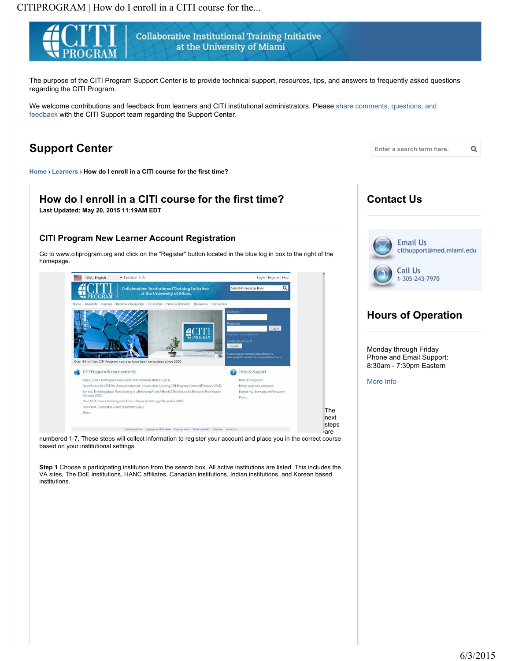

numbered 1-7. These steps will collect information to register your account and place you in the correct course based on your institutional settings.

**Step 1** Choose a participating institution from the search box. All active institutions are listed. This includes the VA sites, The DoE institutions, HANC affiliates, Canadian institutions, Indian institutions, and Korean based institutions.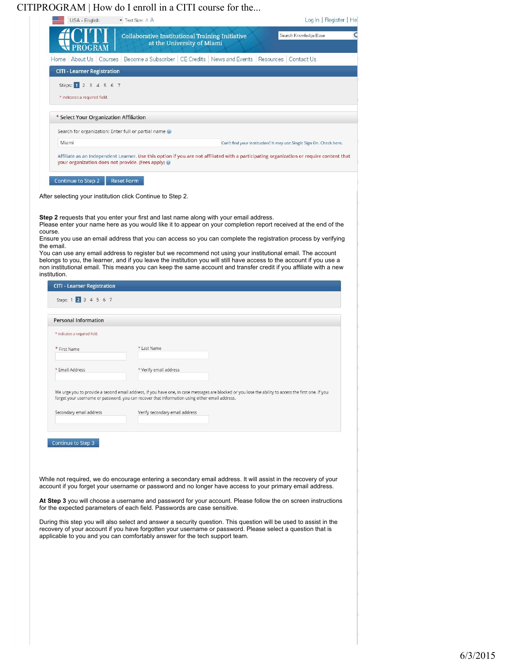

While not required, we do encourage entering a secondary email address. It will assist in the recovery of your account if you forget your username or password and no longer have access to your primary email address.

**At Step 3** you will choose a username and password for your account. Please follow the on screen instructions for the expected parameters of each field. Passwords are case sensitive.

During this step you will also select and answer a security question. This question will be used to assist in the recovery of your account if you have forgotten your username or password. Please select a question that is applicable to you and you can comfortably answer for the tech support team.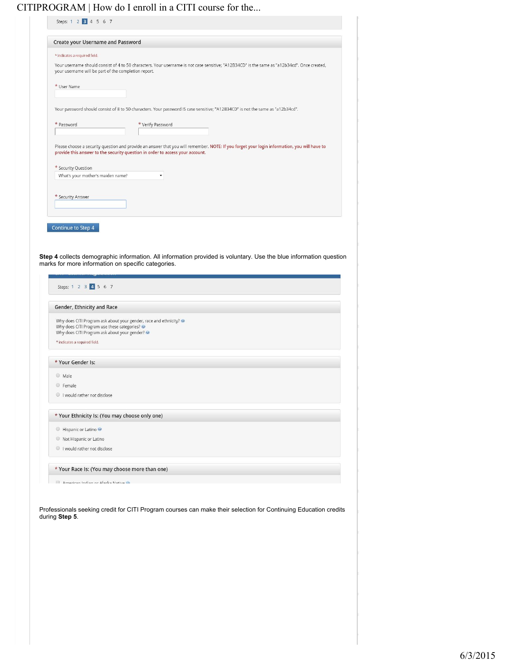| <b>Create your Username and Password</b>                                                                                                                                                                                                                                                                                                                                                                                                                                                                                       |                                                                                                                                                                                                                               |
|--------------------------------------------------------------------------------------------------------------------------------------------------------------------------------------------------------------------------------------------------------------------------------------------------------------------------------------------------------------------------------------------------------------------------------------------------------------------------------------------------------------------------------|-------------------------------------------------------------------------------------------------------------------------------------------------------------------------------------------------------------------------------|
| * indicates a required field.                                                                                                                                                                                                                                                                                                                                                                                                                                                                                                  |                                                                                                                                                                                                                               |
| your username will be part of the completion report.                                                                                                                                                                                                                                                                                                                                                                                                                                                                           | Your username should consist of 4 to 50 characters. Your username is not case sensitive; "A12B34CD" is the same as "a12b34cd". Once created,                                                                                  |
| * User Name                                                                                                                                                                                                                                                                                                                                                                                                                                                                                                                    |                                                                                                                                                                                                                               |
|                                                                                                                                                                                                                                                                                                                                                                                                                                                                                                                                |                                                                                                                                                                                                                               |
|                                                                                                                                                                                                                                                                                                                                                                                                                                                                                                                                | Your password should consist of 8 to 50 characters. Your password IS case sensitive; "A12B34CD" is not the same as "a12b34cd".                                                                                                |
| * Password                                                                                                                                                                                                                                                                                                                                                                                                                                                                                                                     | * Verify Password                                                                                                                                                                                                             |
|                                                                                                                                                                                                                                                                                                                                                                                                                                                                                                                                | Please choose a security question and provide an answer that you will remember. NOTE: If you forget your login information, you will have to<br>provide this answer to the security question in order to access your account. |
| * Security Question                                                                                                                                                                                                                                                                                                                                                                                                                                                                                                            |                                                                                                                                                                                                                               |
| What's your mother's maiden name?                                                                                                                                                                                                                                                                                                                                                                                                                                                                                              | ۰                                                                                                                                                                                                                             |
|                                                                                                                                                                                                                                                                                                                                                                                                                                                                                                                                |                                                                                                                                                                                                                               |
| * Security Answer                                                                                                                                                                                                                                                                                                                                                                                                                                                                                                              |                                                                                                                                                                                                                               |
|                                                                                                                                                                                                                                                                                                                                                                                                                                                                                                                                | Step 4 collects demographic information. All information provided is voluntary. Use the blue information question                                                                                                             |
| Steps: 1 2 3 4 5 6 7                                                                                                                                                                                                                                                                                                                                                                                                                                                                                                           |                                                                                                                                                                                                                               |
|                                                                                                                                                                                                                                                                                                                                                                                                                                                                                                                                |                                                                                                                                                                                                                               |
|                                                                                                                                                                                                                                                                                                                                                                                                                                                                                                                                |                                                                                                                                                                                                                               |
|                                                                                                                                                                                                                                                                                                                                                                                                                                                                                                                                |                                                                                                                                                                                                                               |
|                                                                                                                                                                                                                                                                                                                                                                                                                                                                                                                                |                                                                                                                                                                                                                               |
|                                                                                                                                                                                                                                                                                                                                                                                                                                                                                                                                |                                                                                                                                                                                                                               |
|                                                                                                                                                                                                                                                                                                                                                                                                                                                                                                                                |                                                                                                                                                                                                                               |
|                                                                                                                                                                                                                                                                                                                                                                                                                                                                                                                                |                                                                                                                                                                                                                               |
|                                                                                                                                                                                                                                                                                                                                                                                                                                                                                                                                |                                                                                                                                                                                                                               |
|                                                                                                                                                                                                                                                                                                                                                                                                                                                                                                                                |                                                                                                                                                                                                                               |
|                                                                                                                                                                                                                                                                                                                                                                                                                                                                                                                                |                                                                                                                                                                                                                               |
| Continue to Step 4<br>marks for more information on specific categories.<br>Gender, Ethnicity and Race<br>Why does CITI Program ask about your gender, race and ethnicity? @<br>Why does CITI Program use these categories?<br>Why does CITI Program ask about your gender?<br>* indicates a required field.<br>* Your Gender Is:<br>C Male<br><b>E</b> Female<br>I would rather not disclose<br>* Your Ethnicity Is: (You may choose only one)<br>Hispanic or Latino<br>Not Hispanic or Latino<br>I would rather not disclose |                                                                                                                                                                                                                               |

Professionals seeking credit for CITI Program courses can make their selection for Continuing Education credits during **Step 5**.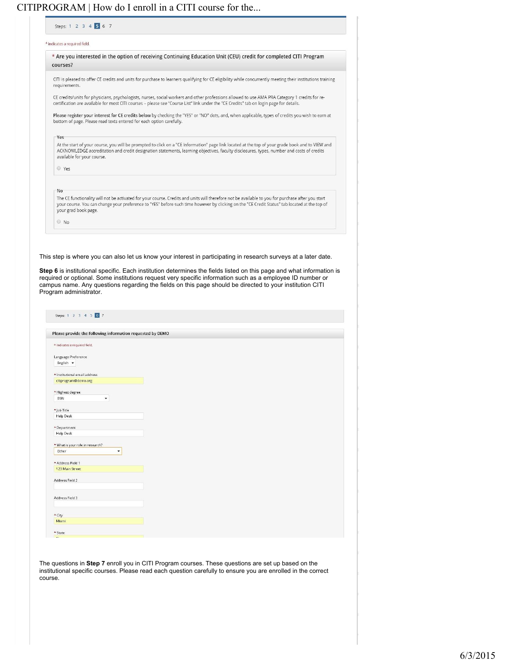| Steps: 1 2 3 4 5 6 7                        |                                                                                                                                                                                                                                                                                                                                                                                                                                                                  |
|---------------------------------------------|------------------------------------------------------------------------------------------------------------------------------------------------------------------------------------------------------------------------------------------------------------------------------------------------------------------------------------------------------------------------------------------------------------------------------------------------------------------|
| * indicates a required field.               |                                                                                                                                                                                                                                                                                                                                                                                                                                                                  |
|                                             | * Are you interested in the option of receiving Continuing Education Unit (CEU) credit for completed CITI Program                                                                                                                                                                                                                                                                                                                                                |
| courses?                                    |                                                                                                                                                                                                                                                                                                                                                                                                                                                                  |
| requirements.                               | CITI is pleased to offer CE credits and units for purchase to learners qualifying for CE eligibility while concurrently meeting their institutions training                                                                                                                                                                                                                                                                                                      |
|                                             | CE credits/units for physicians, psychologists, nurses, social workers and other professions allowed to use AMA PRA Category 1 credits for re-<br>certification are available for most CITI courses - please see "Course List" link under the "CE Credits" tab on login page for details.                                                                                                                                                                        |
|                                             | Please register your interest for CE credits below by checking the "YES" or "NO" dots, and, when applicable, types of credits you wish to earn at<br>bottom of page. Please read texts entered for each option carefully.                                                                                                                                                                                                                                        |
|                                             |                                                                                                                                                                                                                                                                                                                                                                                                                                                                  |
| Yes                                         |                                                                                                                                                                                                                                                                                                                                                                                                                                                                  |
| available for your course.                  | At the start of your course, you will be prompted to click on a "CE Information" page link located at the top of your grade book and to VIEW and<br>ACKNOWLEDGE accreditation and credit designation statements, learning objectives, faculty disclosures, types, number and costs of credits                                                                                                                                                                    |
| ◎ Yes                                       |                                                                                                                                                                                                                                                                                                                                                                                                                                                                  |
|                                             |                                                                                                                                                                                                                                                                                                                                                                                                                                                                  |
| No                                          |                                                                                                                                                                                                                                                                                                                                                                                                                                                                  |
| your grad book page.                        | The CE functionality will not be activated for your course. Credits and units will therefore not be available to you for purchase after you start<br>your course. You can change your preference to "YES" before such time however by clicking on the "CE Credit Status" tab located at the top of                                                                                                                                                               |
| $\circ$ No                                  |                                                                                                                                                                                                                                                                                                                                                                                                                                                                  |
|                                             |                                                                                                                                                                                                                                                                                                                                                                                                                                                                  |
|                                             | This step is where you can also let us know your interest in participating in research surveys at a later date.<br>Step 6 is institutional specific. Each institution determines the fields listed on this page and what information is<br>required or optional. Some institutions request very specific information such as a employee ID number or<br>campus name. Any questions regarding the fields on this page should be directed to your institution CITI |
| Program administrator.                      |                                                                                                                                                                                                                                                                                                                                                                                                                                                                  |
| Steps: 1 2 3 4 5 6 7                        |                                                                                                                                                                                                                                                                                                                                                                                                                                                                  |
|                                             | Please provide the following information requested by DEMO                                                                                                                                                                                                                                                                                                                                                                                                       |
| * indicates a required field.               |                                                                                                                                                                                                                                                                                                                                                                                                                                                                  |
| Language Preference                         |                                                                                                                                                                                                                                                                                                                                                                                                                                                                  |
| English +                                   |                                                                                                                                                                                                                                                                                                                                                                                                                                                                  |
|                                             |                                                                                                                                                                                                                                                                                                                                                                                                                                                                  |
| * Institutional email address               |                                                                                                                                                                                                                                                                                                                                                                                                                                                                  |
| citiprogram@demo.org                        |                                                                                                                                                                                                                                                                                                                                                                                                                                                                  |
| * Highest degree                            |                                                                                                                                                                                                                                                                                                                                                                                                                                                                  |
| <b>BSN</b>                                  |                                                                                                                                                                                                                                                                                                                                                                                                                                                                  |
| * Job Title                                 |                                                                                                                                                                                                                                                                                                                                                                                                                                                                  |
| <b>Help Desk</b>                            |                                                                                                                                                                                                                                                                                                                                                                                                                                                                  |
|                                             |                                                                                                                                                                                                                                                                                                                                                                                                                                                                  |
| <sup>*</sup> Department<br><b>Help Desk</b> |                                                                                                                                                                                                                                                                                                                                                                                                                                                                  |
|                                             |                                                                                                                                                                                                                                                                                                                                                                                                                                                                  |
| * What is your role in research?<br>Other   |                                                                                                                                                                                                                                                                                                                                                                                                                                                                  |
| * Address Field 1                           |                                                                                                                                                                                                                                                                                                                                                                                                                                                                  |
| 123 Main Street                             |                                                                                                                                                                                                                                                                                                                                                                                                                                                                  |
| Address Field 2                             |                                                                                                                                                                                                                                                                                                                                                                                                                                                                  |
| Address Field 3                             |                                                                                                                                                                                                                                                                                                                                                                                                                                                                  |
|                                             |                                                                                                                                                                                                                                                                                                                                                                                                                                                                  |
|                                             |                                                                                                                                                                                                                                                                                                                                                                                                                                                                  |
| * City<br>Miami                             |                                                                                                                                                                                                                                                                                                                                                                                                                                                                  |

The questions in **Step 7** enroll you in CITI Program courses. These questions are set up based on the institutional specific courses. Please read each question carefully to ensure you are enrolled in the correct course.

 $\frac{4 \text{ State}}{5}$